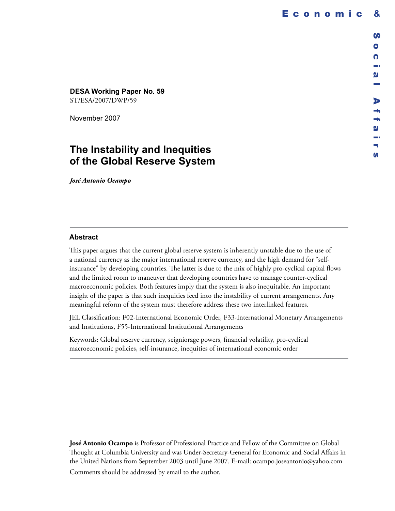D

a. **W** ÷. щ. m

## **DESA Working Paper No. 59**

ST/ESA/2007/DWP/59

November 2007

# **The Instability and Inequities of the Global Reserve System**

*José Antonio Ocampo*

## **Abstract**

This paper argues that the current global reserve system is inherently unstable due to the use of a national currency as the major international reserve currency, and the high demand for "selfinsurance" by developing countries. The latter is due to the mix of highly pro-cyclical capital flows and the limited room to maneuver that developing countries have to manage counter-cyclical macroeconomic policies. Both features imply that the system is also inequitable. An important insight of the paper is that such inequities feed into the instability of current arrangements. Any meaningful reform of the system must therefore address these two interlinked features.

JEL Classification: F02-International Economic Order, F33-International Monetary Arrangements and Institutions, F55-International Institutional Arrangements

Keywords: Global reserve currency, seigniorage powers, financial volatility, pro-cyclical macroeconomic policies, self-insurance, inequities of international economic order

**José Antonio Ocampo** is Professor of Professional Practice and Fellow of the Committee on Global Thought at Columbia University and was Under-Secretary-General for Economic and Social Affairs in the United Nations from September 2003 until June 2007. E-mail: ocampo.joseantonio@yahoo.com Comments should be addressed by email to the author.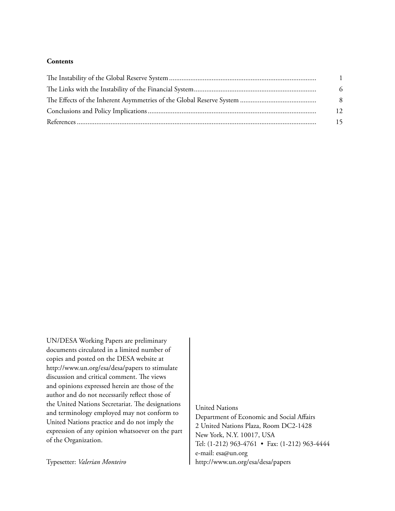### **Contents**

| $\overline{1}$ |
|----------------|
| 6              |
| 8              |
| 12             |
| 15             |

UN/DESA Working Papers are preliminary documents circulated in a limited number of copies and posted on the DESA website at http://www.un.org/esa/desa/papers to stimulate discussion and critical comment. The views and opinions expressed herein are those of the author and do not necessarily reflect those of the United Nations Secretariat. The designations and terminology employed may not conform to United Nations practice and do not imply the expression of any opinion whatsoever on the part of the Organization.

United Nations

Department of Economic and Social Affairs 2 United Nations Plaza, Room DC2-1428 New York, N.Y. 10017, USA Tel: (1-212) 963-4761 • Fax: (1-212) 963-4444 e-mail: esa@un.org http://www.un.org/esa/desa/papers

Typesetter: *Valerian Monteiro*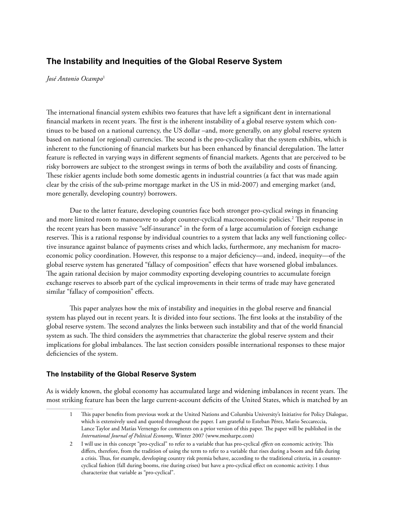## **The Instability and Inequities of the Global Reserve System**

*José Antonio Ocampo*<sup>1</sup>

The international financial system exhibits two features that have left a significant dent in international financial markets in recent years. The first is the inherent instability of a global reserve system which continues to be based on a national currency, the US dollar –and, more generally, on any global reserve system based on national (or regional) currencies. The second is the pro-cyclicality that the system exhibits, which is inherent to the functioning of financial markets but has been enhanced by financial deregulation. The latter feature is reflected in varying ways in different segments of financial markets. Agents that are perceived to be risky borrowers are subject to the strongest swings in terms of both the availability and costs of financing. These riskier agents include both some domestic agents in industrial countries (a fact that was made again clear by the crisis of the sub-prime mortgage market in the US in mid-2007) and emerging market (and, more generally, developing country) borrowers.

Due to the latter feature, developing countries face both stronger pro-cyclical swings in financing and more limited room to manoeuvre to adopt counter-cyclical macroeconomic policies. $^2$  Their response in the recent years has been massive "self-insurance" in the form of a large accumulation of foreign exchange reserves. This is a rational response by individual countries to a system that lacks any well functioning collective insurance against balance of payments crises and which lacks, furthermore, any mechanism for macroeconomic policy coordination. However, this response to a major deficiency—and, indeed, inequity—of the global reserve system has generated "fallacy of composition" effects that have worsened global imbalances. The again rational decision by major commodity exporting developing countries to accumulate foreign exchange reserves to absorb part of the cyclical improvements in their terms of trade may have generated similar "fallacy of composition" effects.

This paper analyzes how the mix of instability and inequities in the global reserve and financial system has played out in recent years. It is divided into four sections. The first looks at the instability of the global reserve system. The second analyzes the links between such instability and that of the world financial system as such. The third considers the asymmetries that characterize the global reserve system and their implications for global imbalances. The last section considers possible international responses to these major deficiencies of the system.

## **The Instability of the Global Reserve System**

As is widely known, the global economy has accumulated large and widening imbalances in recent years. The most striking feature has been the large current-account deficits of the United States, which is matched by an

<sup>1</sup> This paper benefits from previous work at the United Nations and Columbia University's Initiative for Policy Dialogue, which is extensively used and quoted throughout the paper. I am grateful to Esteban Pérez, Mario Seccareccia, Lance Taylor and Matías Vernengo for comments on a prior version of this paper. The paper will be published in the *International Journal of Political Economy*, Winter 2007 (www.mesharpe.com)

<sup>2</sup> I will use in this concept "pro-cyclical" to refer to a variable that has pro-cyclical *effects* on economic activity. This differs, therefore, from the tradition of using the term to refer to a variable that rises during a boom and falls during a crisis. Thus, for example, developing country risk premia behave, according to the traditional criteria, in a countercyclical fashion (fall during booms, rise during crises) but have a pro-cyclical effect on economic activity. I thus characterize that variable as "pro-cyclical".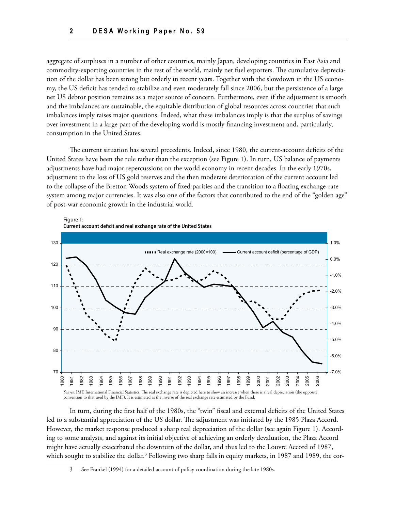aggregate of surpluses in a number of other countries, mainly Japan, developing countries in East Asia and commodity-exporting countries in the rest of the world, mainly net fuel exporters. The cumulative depreciation of the dollar has been strong but orderly in recent years. Together with the slowdown in the US economy, the US deficit has tended to stabilize and even moderately fall since 2006, but the persistence of a large net US debtor position remains as a major source of concern. Furthermore, even if the adjustment is smooth and the imbalances are sustainable, the equitable distribution of global resources across countries that such imbalances imply raises major questions. Indeed, what these imbalances imply is that the surplus of savings over investment in a large part of the developing world is mostly financing investment and, particularly, consumption in the United States.

The current situation has several precedents. Indeed, since 1980, the current-account deficits of the United States have been the rule rather than the exception (see Figure 1). In turn, US balance of payments adjustments have had major repercussions on the world economy in recent decades. In the early 1970s, adjustment to the loss of US gold reserves and the then moderate deterioration of the current account led to the collapse of the Bretton Woods system of fixed parities and the transition to a floating exchange-rate system among major currencies. It was also one of the factors that contributed to the end of the "golden age" of post-war economic growth in the industrial world.



In turn, during the first half of the 1980s, the "twin" fiscal and external deficits of the United States led to a substantial appreciation of the US dollar. The adjustment was initiated by the 1985 Plaza Accord. However, the market response produced a sharp real depreciation of the dollar (see again Figure 1). According to some analysts, and against its initial objective of achieving an orderly devaluation, the Plaza Accord might have actually exacerbated the downturn of the dollar, and thus led to the Louvre Accord of 1987, which sought to stabilize the dollar.<sup>3</sup> Following two sharp falls in equity markets, in 1987 and 1989, the cor-

See Frankel (1994) for a detailed account of policy coordination during the late 1980s.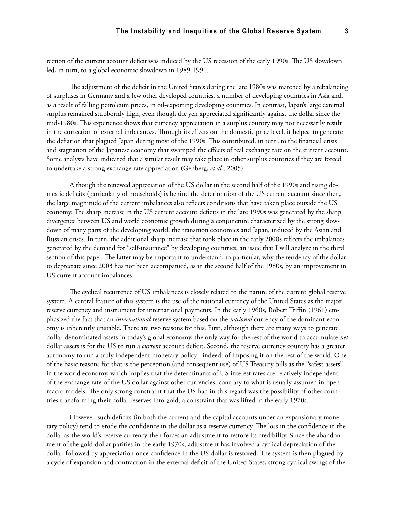rection of the current account deficit was induced by the US recession of the early 1990s. The US slowdown led, in turn, to a global economic slowdown in 1989-1991.

The adjustment of the deficit in the United States during the late 1980s was matched by a rebalancing of surpluses in Germany and a few other developed countries, a number of developing countries in Asia and, as a result of falling petroleum prices, in oil-exporting developing countries. In contrast, Japan's large external surplus remained stubbornly high, even though the yen appreciated significantly against the dollar since the mid-1980s. This experience shows that currency appreciation in a surplus country may not necessarily result in the correction of external imbalances. Through its effects on the domestic price level, it helped to generate the deflation that plagued Japan during most of the 1990s. This contributed, in turn, to the financial crisis and stagnation of the Japanese economy that swamped the effects of real exchange rate on the current account. Some analysts have indicated that a similar result may take place in other surplus countries if they are forced to undertake a strong exchange rate appreciation (Genberg, *et al.*, 2005).

Although the renewed appreciation of the US dollar in the second half of the 1990s and rising domestic deficits (particularly of households) is behind the deterioration of the US current account since then, the large magnitude of the current imbalances also reflects conditions that have taken place outside the US economy. The sharp increase in the US current account deficits in the late 1990s was generated by the sharp divergence between US and world economic growth during a conjuncture characterized by the strong slowdown of many parts of the developing world, the transition economies and Japan, induced by the Asian and Russian crises. In turn, the additional sharp increase that took place in the early 2000s reflects the imbalances generated by the demand for "self-insurance" by developing countries, an issue that I will analyze in the third section of this paper. The latter may be important to understand, in particular, why the tendency of the dollar to depreciate since 2003 has not been accompanied, as in the second half of the 1980s, by an improvement in US current account imbalances.

The cyclical recurrence of US imbalances is closely related to the nature of the current global reserve system. A central feature of this system is the use of the national currency of the United States as the major reserve currency and instrument for international payments. In the early 1960s, Robert Triffin (1961) emphasized the fact that an *international* reserve system based on the *national* currency of the dominant economy is inherently unstable. There are two reasons for this. First, although there are many ways to generate dollar-denominated assets in today's global economy, the only way for the rest of the world to accumulate *net* dollar assets is for the US to run a *current* account deficit. Second, the reserve currency country has a greater autonomy to run a truly independent monetary policy –indeed, of imposing it on the rest of the world. One of the basic reasons for that is the perception (and consequent use) of US Treasury bills as the "safest assets" in the world economy, which implies that the determinants of US interest rates are relatively independent of the exchange rate of the US dollar against other currencies, contrary to what is usually assumed in open macro models. The only strong constraint that the US had in this regard was the possibility of other countries transforming their dollar reserves into gold, a constraint that was lifted in the early 1970s.

However, such deficits (in both the current and the capital accounts under an expansionary monetary policy) tend to erode the confidence in the dollar as a reserve currency. The loss in the confidence in the dollar as the world's reserve currency then forces an adjustment to restore its credibility. Since the abandonment of the gold-dollar parities in the early 1970s, adjustment has involved a cyclical depreciation of the dollar, followed by appreciation once confidence in the US dollar is restored. The system is then plagued by a cycle of expansion and contraction in the external deficit of the United States, strong cyclical swings of the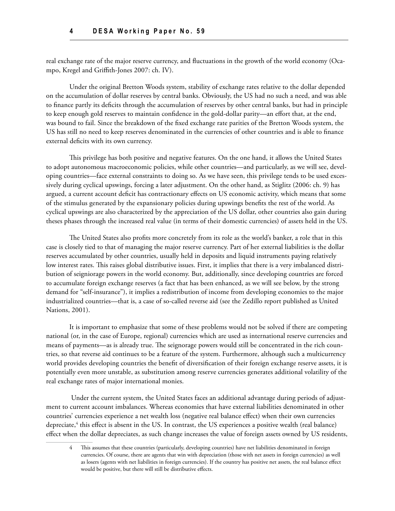real exchange rate of the major reserve currency, and fluctuations in the growth of the world economy (Ocampo, Kregel and Griffith-Jones 2007: ch. IV).

Under the original Bretton Woods system, stability of exchange rates relative to the dollar depended on the accumulation of dollar reserves by central banks. Obviously, the US had no such a need, and was able to finance partly its deficits through the accumulation of reserves by other central banks, but had in principle to keep enough gold reserves to maintain confidence in the gold-dollar parity—an effort that, at the end, was bound to fail. Since the breakdown of the fixed exchange rate parities of the Bretton Woods system, the US has still no need to keep reserves denominated in the currencies of other countries and is able to finance external deficits with its own currency.

This privilege has both positive and negative features. On the one hand, it allows the United States to adopt autonomous macroeconomic policies, while other countries—and particularly, as we will see, developing countries—face external constraints to doing so. As we have seen, this privilege tends to be used excessively during cyclical upswings, forcing a later adjustment. On the other hand, as Stiglitz (2006: ch. 9) has argued, a current account deficit has contractionary effects on US economic activity, which means that some of the stimulus generated by the expansionary policies during upswings benefits the rest of the world. As cyclical upswings are also characterized by the appreciation of the US dollar, other countries also gain during theses phases through the increased real value (in terms of their domestic currencies) of assets held in the US.

The United States also profits more concretely from its role as the world's banker, a role that in this case is closely tied to that of managing the major reserve currency. Part of her external liabilities is the dollar reserves accumulated by other countries, usually held in deposits and liquid instruments paying relatively low interest rates. This raises global distributive issues. First, it implies that there is a very imbalanced distribution of seigniorage powers in the world economy. But, additionally, since developing countries are forced to accumulate foreign exchange reserves (a fact that has been enhanced, as we will see below, by the strong demand for "self-insurance"), it implies a redistribution of income from developing economies to the major industrialized countries—that is, a case of so-called reverse aid (see the Zedillo report published as United Nations, 2001).

It is important to emphasize that some of these problems would not be solved if there are competing national (or, in the case of Europe, regional) currencies which are used as international reserve currencies and means of payments—as is already true. The seignorage powers would still be concentrated in the rich countries, so that reverse aid continues to be a feature of the system. Furthermore, although such a multicurrency world provides developing countries the benefit of diversification of their foreign exchange reserve assets, it is potentially even more unstable, as substitution among reserve currencies generates additional volatility of the real exchange rates of major international monies.

 Under the current system, the United States faces an additional advantage during periods of adjustment to current account imbalances. Whereas economies that have external liabilities denominated in other countries' currencies experience a net wealth loss (negative real balance effect) when their own currencies depreciate,4 this effect is absent in the US. In contrast, the US experiences a positive wealth (real balance) effect when the dollar depreciates, as such change increases the value of foreign assets owned by US residents,

<sup>4</sup> This assumes that these countries (particularly, developing countries) have net liabilities denominated in foreign currencies. Of course, there are agents that win with depreciation (those with net assets in foreign currencies) as well as losers (agents with net liabilities in foreign currencies). If the country has positive net assets, the real balance effect would be positive, but there will still be distributive effects.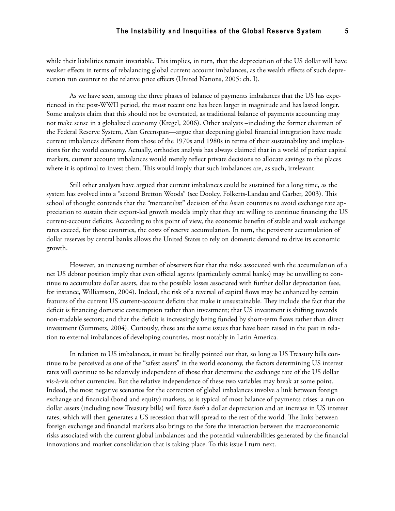while their liabilities remain invariable. This implies, in turn, that the depreciation of the US dollar will have weaker effects in terms of rebalancing global current account imbalances, as the wealth effects of such depreciation run counter to the relative price effects (United Nations, 2005: ch. I).

As we have seen, among the three phases of balance of payments imbalances that the US has experienced in the post-WWII period, the most recent one has been larger in magnitude and has lasted longer. Some analysts claim that this should not be overstated, as traditional balance of payments accounting may not make sense in a globalized economy (Kregel, 2006). Other analysts –including the former chairman of the Federal Reserve System, Alan Greenspan—argue that deepening global financial integration have made current imbalances different from those of the 1970s and 1980s in terms of their sustainability and implications for the world economy. Actually, orthodox analysis has always claimed that in a world of perfect capital markets, current account imbalances would merely reflect private decisions to allocate savings to the places where it is optimal to invest them. This would imply that such imbalances are, as such, irrelevant.

Still other analysts have argued that current imbalances could be sustained for a long time, as the system has evolved into a "second Bretton Woods" (see Dooley, Folkerts-Landau and Garber, 2003). This school of thought contends that the "mercantilist" decision of the Asian countries to avoid exchange rate appreciation to sustain their export-led growth models imply that they are willing to continue financing the US current-account deficits. According to this point of view, the economic benefits of stable and weak exchange rates exceed, for those countries, the costs of reserve accumulation. In turn, the persistent accumulation of dollar reserves by central banks allows the United States to rely on domestic demand to drive its economic growth.

However, an increasing number of observers fear that the risks associated with the accumulation of a net US debtor position imply that even official agents (particularly central banks) may be unwilling to continue to accumulate dollar assets, due to the possible losses associated with further dollar depreciation (see, for instance, Williamson, 2004). Indeed, the risk of a reversal of capital flows may be enhanced by certain features of the current US current-account deficits that make it unsustainable. They include the fact that the deficit is financing domestic consumption rather than investment; that US investment is shifting towards non-tradable sectors; and that the deficit is increasingly being funded by short-term flows rather than direct investment (Summers, 2004). Curiously, these are the same issues that have been raised in the past in relation to external imbalances of developing countries, most notably in Latin America.

In relation to US imbalances, it must be finally pointed out that, so long as US Treasury bills continue to be perceived as one of the "safest assets" in the world economy, the factors determining US interest rates will continue to be relatively independent of those that determine the exchange rate of the US dollar vis-à-vis other currencies. But the relative independence of these two variables may break at some point. Indeed, the most negative scenarios for the correction of global imbalances involve a link between foreign exchange and financial (bond and equity) markets, as is typical of most balance of payments crises: a run on dollar assets (including now Treasury bills) will force *both* a dollar depreciation and an increase in US interest rates, which will then generates a US recession that will spread to the rest of the world. The links between foreign exchange and financial markets also brings to the fore the interaction between the macroeconomic risks associated with the current global imbalances and the potential vulnerabilities generated by the financial innovations and market consolidation that is taking place. To this issue I turn next.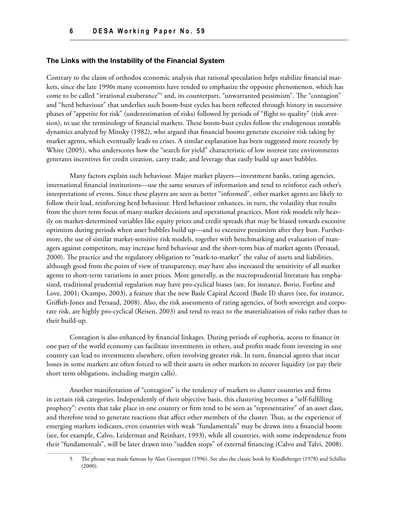#### **The Links with the Instability of the Financial System**

Contrary to the claim of orthodox economic analysis that rational speculation helps stabilize financial markets, since the late 1990s many economists have tended to emphasize the opposite phenomenon, which has come to be called "irrational exuberance"<sup>5</sup> and, its counterpart, "unwarranted pessimism". The "contagion" and "herd behaviour" that underlies such boom-bust cycles has been reflected through history in successive phases of "appetite for risk" (underestimation of risks) followed by periods of "flight to quality" (risk aversion), to use the terminology of financial markets. These boom-bust cycles follow the endogenous unstable dynamics analyzed by Minsky (1982), who argued that financial booms generate excessive risk taking by market agents, which eventually leads to crises. A similar explanation has been suggested more recently by White (2005), who underscores how the "search for yield" characteristic of low interest rate environments generates incentives for credit creation, carry trade, and leverage that easily build up asset bubbles.

Many factors explain such behaviour. Major market players—investment banks, rating agencies, international financial institutions—use the same sources of information and tend to reinforce each other's interpretations of events. Since these players are seen as better "informed", other market agents are likely to follow their lead, reinforcing herd behaviour. Herd behaviour enhances, in turn, the volatility that results from the short term focus of many market decisions and operational practices. Most risk models rely heavily on market-determined variables like equity prices and credit spreads that may be biased towards excessive optimism during periods when asset bubbles build up—and to excessive pessimism after they bust. Furthermore, the use of similar market-sensitive risk models, together with benchmarking and evaluation of managers against competitors, may increase herd behaviour and the short-term bias of market agents (Persaud, 2000). The practice and the regulatory obligation to "mark-to-market" the value of assets and liabilities, although good from the point of view of transparency, may have also increased the sensitivity of all market agents to short-term variations in asset prices. More generally, as the macroprudential literature has emphasized, traditional prudential regulation may have pro-cyclical biases (see, for instance, Borio, Furfine and Love, 2001; Ocampo, 2003), a feature that the new Basle Capital Accord (Basle II) shares (see, for instance, Griffith-Jones and Persaud, 2008). Also, the risk assessments of rating agencies, of both sovereign and corporate risk, are highly pro-cyclical (Reisen, 2003) and tend to react to the materialization of risks rather than to their build-up.

Contagion is also enhanced by financial linkages. During periods of euphoria, access to finance in one part of the world economy can facilitate investments in others, and profits made from investing in one country can lead to investments elsewhere, often involving greater risk. In turn, financial agents that incur losses in some markets are often forced to sell their assets in other markets to recover liquidity (or pay their short term obligations, including margin calls).

Another manifestation of "contagion" is the tendency of markets to cluster countries and firms in certain risk categories. Independently of their objective basis, this clustering becomes a "self-fulfilling prophecy": events that take place in one country or firm tend to be seen as "representative" of an asset class, and therefore tend to generate reactions that affect other members of the cluster. Thus, as the experience of emerging markets indicates, even countries with weak "fundamentals" may be drawn into a financial boom (see, for example, Calvo, Leiderman and Reinhart, 1993), while all countries, with some independence from their "fundamentals", will be later drawn into "sudden stops" of external financing (Calvo and Talvi, 2008).

<sup>5</sup> The phrase was made famous by Alan Greenspan (1996). See also the classic book by Kindleberger (1978) and Schiller (2000).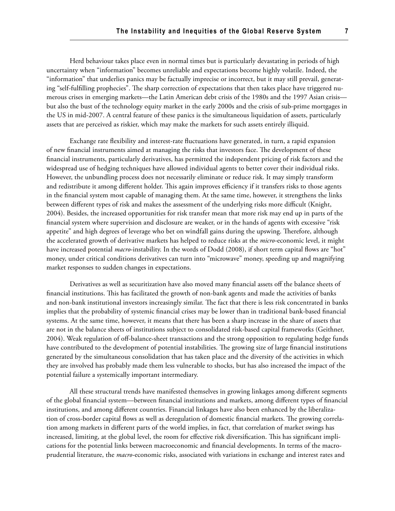Herd behaviour takes place even in normal times but is particularly devastating in periods of high uncertainty when "information" becomes unreliable and expectations become highly volatile. Indeed, the "information" that underlies panics may be factually imprecise or incorrect, but it may still prevail, generating "self-fulfilling prophecies". The sharp correction of expectations that then takes place have triggered numerous crises in emerging markets—the Latin American debt crisis of the 1980s and the 1997 Asian crisis but also the bust of the technology equity market in the early 2000s and the crisis of sub-prime mortgages in the US in mid-2007. A central feature of these panics is the simultaneous liquidation of assets, particularly assets that are perceived as riskier, which may make the markets for such assets entirely illiquid.

Exchange rate flexibility and interest-rate fluctuations have generated, in turn, a rapid expansion of new financial instruments aimed at managing the risks that investors face. The development of these financial instruments, particularly derivatives, has permitted the independent pricing of risk factors and the widespread use of hedging techniques have allowed individual agents to better cover their individual risks. However, the unbundling process does not necessarily eliminate or reduce risk. It may simply transform and redistribute it among different holder. This again improves efficiency if it transfers risks to those agents in the financial system most capable of managing them. At the same time, however, it strengthens the links between different types of risk and makes the assessment of the underlying risks more difficult (Knight, 2004). Besides, the increased opportunities for risk transfer mean that more risk may end up in parts of the financial system where supervision and disclosure are weaker, or in the hands of agents with excessive "risk appetite" and high degrees of leverage who bet on windfall gains during the upswing. Therefore, although the accelerated growth of derivative markets has helped to reduce risks at the *micro-*economic level, it might have increased potential *macro*-instability. In the words of Dodd (2008), if short term capital flows are "hot" money, under critical conditions derivatives can turn into "microwave" money, speeding up and magnifying market responses to sudden changes in expectations.

Derivatives as well as securitization have also moved many financial assets off the balance sheets of financial institutions. This has facilitated the growth of non-bank agents and made the activities of banks and non-bank institutional investors increasingly similar. The fact that there is less risk concentrated in banks implies that the probability of systemic financial crises may be lower than in traditional bank-based financial systems. At the same time, however, it means that there has been a sharp increase in the share of assets that are not in the balance sheets of institutions subject to consolidated risk-based capital frameworks (Geithner, 2004). Weak regulation of off-balance-sheet transactions and the strong opposition to regulating hedge funds have contributed to the development of potential instabilities. The growing size of large financial institutions generated by the simultaneous consolidation that has taken place and the diversity of the activities in which they are involved has probably made them less vulnerable to shocks, but has also increased the impact of the potential failure a systemically important intermediary.

All these structural trends have manifested themselves in growing linkages among different segments of the global financial system—between financial institutions and markets, among different types of financial institutions, and among different countries. Financial linkages have also been enhanced by the liberalization of cross-border capital flows as well as deregulation of domestic financial markets. The growing correlation among markets in different parts of the world implies, in fact, that correlation of market swings has increased, limiting, at the global level, the room for effective risk diversification. This has significant implications for the potential links between macroeconomic and financial developments. In terms of the macroprudential literature, the *macro-*economic risks, associated with variations in exchange and interest rates and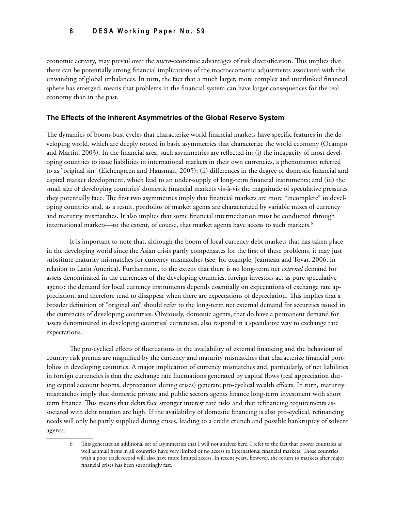economic activity, may prevail over the *micro-*economic advantages of risk diversification. This implies that there can be potentially strong financial implications of the macroeconomic adjustments associated with the unwinding of global imbalances. In turn, the fact that a much larger, more complex and interlinked financial sphere has emerged, means that problems in the financial system can have larger consequences for the real economy than in the past.

#### **The Effects of the Inherent Asymmetries of the Global Reserve System**

The dynamics of boom-bust cycles that characterize world financial markets have specific features in the developing world, which are deeply rooted in basic asymmetries that characterize the world economy (Ocampo and Martin, 2003). In the financial area, such asymmetries are reflected in: (i) the incapacity of most developing countries to issue liabilities in international markets in their own currencies, a phenomenon referred to as "original sin" (Eichengreen and Hausman, 2005); (ii) differences in the degree of domestic financial and capital market development, which lead to an under-supply of long-term financial instruments; and (iii) the small size of developing countries' domestic financial markets vis-à-vis the magnitude of speculative pressures they potentially face. The first two asymmetries imply that financial markets are more "incomplete" in developing countries and, as a result, portfolios of market agents are characterized by variable mixes of currency and maturity mismatches. It also implies that some financial intermediation must be conducted through international markets—to the extent, of course, that market agents have access to such markets.<sup>6</sup>

It is important to note that, although the boom of local currency debt markets that has taken place in the developing world since the Asian crisis partly compensates for the first of these problems, it may just substitute maturity mismatches for currency mismatches (see, for example, Jeanneau and Tovar, 2006, in relation to Latin America). Furthermore, to the extent that there is no long-term net *external* demand for assets denominated in the currencies of the developing countries, foreign investors act as pure speculative agents: the demand for local currency instruments depends essentially on expectations of exchange rate appreciation, and therefore tend to disappear when there are expectations of depreciation. This implies that a broader definition of "original sin" should refer to the long-term net external demand for securities issued in the currencies of developing countries. Obviously, domestic agents, that do have a permanent demand for assets denominated in developing countries' currencies, also respond in a speculative way to exchange rate expectations.

The pro-cyclical effects of fluctuations in the availability of external financing and the behaviour of country risk premia are magnified by the currency and maturity mismatches that characterize financial portfolios in developing countries. A major implication of currency mismatches and, particularly, of net liabilities in foreign currencies is that the exchange rate fluctuations generated by capital flows (real appreciation during capital account booms, depreciation during crises) generate pro-cyclical wealth effects. In turn, maturity mismatches imply that domestic private and public sectors agents finance long-term investment with short term finance. This means that debts face stronger interest rate risks and that refinancing requirements associated with debt rotation are high. If the availability of domestic financing is also pro-cyclical, refinancing needs will only be partly supplied during crises, leading to a credit crunch and possible bankruptcy of solvent agents.

<sup>6</sup> This generates an additional set of asymmetries that I will not analyze here. I refer to the fact that poorer countries as well as small firms in all countries have very limited or no access to international financial markets. Those countries with a poor track record will also have more limited access. In recent years, however, the return to markets after major financial crises has been surprisingly fast.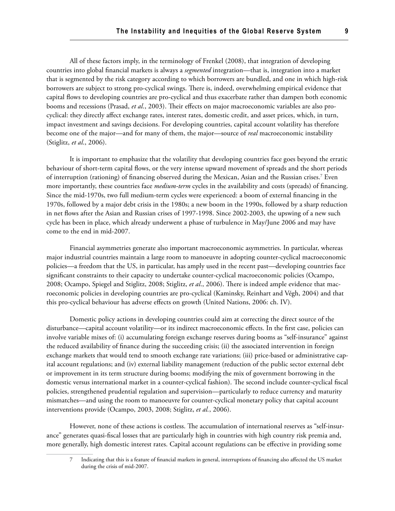All of these factors imply, in the terminology of Frenkel (2008), that integration of developing countries into global financial markets is always a *segmented* integration—that is, integration into a market that is segmented by the risk category according to which borrowers are bundled, and one in which high-risk borrowers are subject to strong pro-cyclical swings. There is, indeed, overwhelming empirical evidence that capital flows to developing countries are pro-cyclical and thus exacerbate rather than dampen both economic booms and recessions (Prasad, *et al*., 2003). Their effects on major macroeconomic variables are also procyclical: they directly affect exchange rates, interest rates, domestic credit, and asset prices, which, in turn, impact investment and savings decisions. For developing countries, capital account volatility has therefore become one of the major—and for many of them, the major—source of *real* macroeconomic instability (Stiglitz, *et al*., 2006).

It is important to emphasize that the volatility that developing countries face goes beyond the erratic behaviour of short-term capital flows, or the very intense upward movement of spreads and the short periods of interruption (rationing) of financing observed during the Mexican, Asian and the Russian crises.7 Even more importantly, these countries face *medium-term* cycles in the availability and costs (spreads) of financing. Since the mid-1970s, two full medium-term cycles were experienced: a boom of external financing in the 1970s, followed by a major debt crisis in the 1980s; a new boom in the 1990s, followed by a sharp reduction in net flows after the Asian and Russian crises of 1997-1998. Since 2002-2003, the upswing of a new such cycle has been in place, which already underwent a phase of turbulence in May/June 2006 and may have come to the end in mid-2007.

Financial asymmetries generate also important macroeconomic asymmetries. In particular, whereas major industrial countries maintain a large room to manoeuvre in adopting counter-cyclical macroeconomic policies—a freedom that the US, in particular, has amply used in the recent past—developing countries face significant constraints to their capacity to undertake counter-cyclical macroeconomic policies (Ocampo, 2008; Ocampo, Spiegel and Stiglitz, 2008; Stiglitz, *et al*., 2006). There is indeed ample evidence that macroeconomic policies in developing countries are pro-cyclical (Kaminsky, Reinhart and Végh, 2004) and that this pro-cyclical behaviour has adverse effects on growth (United Nations, 2006: ch. IV).

Domestic policy actions in developing countries could aim at correcting the direct source of the disturbance—capital account volatility—or its indirect macroeconomic effects. In the first case, policies can involve variable mixes of: (i) accumulating foreign exchange reserves during booms as "self-insurance" against the reduced availability of finance during the succeeding crisis; (ii) the associated intervention in foreign exchange markets that would tend to smooth exchange rate variations; (iii) price-based or administrative capital account regulations; and (iv) external liability management (reduction of the public sector external debt or improvement in its term structure during booms; modifying the mix of government borrowing in the domestic versus international market in a counter-cyclical fashion). The second include counter-cyclical fiscal policies, strengthened prudential regulation and supervision—particularly to reduce currency and maturity mismatches—and using the room to manoeuvre for counter-cyclical monetary policy that capital account interventions provide (Ocampo, 2003, 2008; Stiglitz, *et al.*, 2006).

However, none of these actions is costless. The accumulation of international reserves as "self-insurance" generates quasi-fiscal losses that are particularly high in countries with high country risk premia and, more generally, high domestic interest rates. Capital account regulations can be effective in providing some

<sup>7</sup> Indicating that this is a feature of financial markets in general, interruptions of financing also affected the US market during the crisis of mid-2007.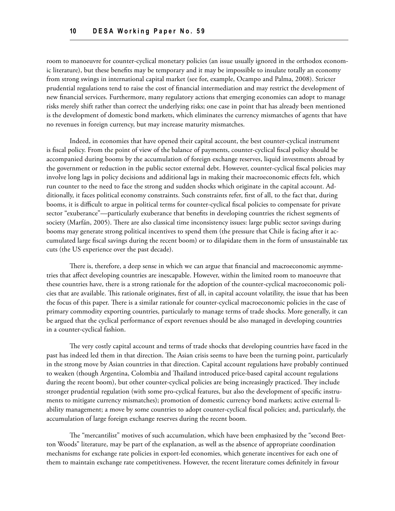room to manoeuvre for counter-cyclical monetary policies (an issue usually ignored in the orthodox economic literature), but these benefits may be temporary and it may be impossible to insulate totally an economy from strong swings in international capital market (see for, example, Ocampo and Palma, 2008). Stricter prudential regulations tend to raise the cost of financial intermediation and may restrict the development of new financial services. Furthermore, many regulatory actions that emerging economies can adopt to manage risks merely shift rather than correct the underlying risks; one case in point that has already been mentioned is the development of domestic bond markets, which eliminates the currency mismatches of agents that have no revenues in foreign currency, but may increase maturity mismatches.

Indeed, in economies that have opened their capital account, the best counter-cyclical instrument is fiscal policy. From the point of view of the balance of payments, counter-cyclical fiscal policy should be accompanied during booms by the accumulation of foreign exchange reserves, liquid investments abroad by the government or reduction in the public sector external debt. However, counter-cyclical fiscal policies may involve long lags in policy decisions and additional lags in making their macroeconomic effects felt, which run counter to the need to face the strong and sudden shocks which originate in the capital account. Additionally, it faces political economy constraints. Such constraints refer, first of all, to the fact that, during booms, it is difficult to argue in political terms for counter-cyclical fiscal policies to compensate for private sector "exuberance"—particularly exuberance that benefits in developing countries the richest segments of society (Marfán, 2005). There are also classical time inconsistency issues: large public sector savings during booms may generate strong political incentives to spend them (the pressure that Chile is facing after it accumulated large fiscal savings during the recent boom) or to dilapidate them in the form of unsustainable tax cuts (the US experience over the past decade).

There is, therefore, a deep sense in which we can argue that financial and macroeconomic asymmetries that affect developing countries are inescapable. However, within the limited room to manoeuvre that these countries have, there is a strong rationale for the adoption of the counter-cyclical macroeconomic policies that are available. This rationale originates, first of all, in capital account volatility, the issue that has been the focus of this paper. There is a similar rationale for counter-cyclical macroeconomic policies in the case of primary commodity exporting countries, particularly to manage terms of trade shocks. More generally, it can be argued that the cyclical performance of export revenues should be also managed in developing countries in a counter-cyclical fashion.

The very costly capital account and terms of trade shocks that developing countries have faced in the past has indeed led them in that direction. The Asian crisis seems to have been the turning point, particularly in the strong move by Asian countries in that direction. Capital account regulations have probably continued to weaken (though Argentina, Colombia and Thailand introduced price-based capital account regulations during the recent boom), but other counter-cyclical policies are being increasingly practiced. They include stronger prudential regulation (with some pro-cyclical features, but also the development of specific instruments to mitigate currency mismatches); promotion of domestic currency bond markets; active external liability management; a move by some countries to adopt counter-cyclical fiscal policies; and, particularly, the accumulation of large foreign exchange reserves during the recent boom.

The "mercantilist" motives of such accumulation, which have been emphasized by the "second Bretton Woods" literature, may be part of the explanation, as well as the absence of appropriate coordination mechanisms for exchange rate policies in export-led economies, which generate incentives for each one of them to maintain exchange rate competitiveness. However, the recent literature comes definitely in favour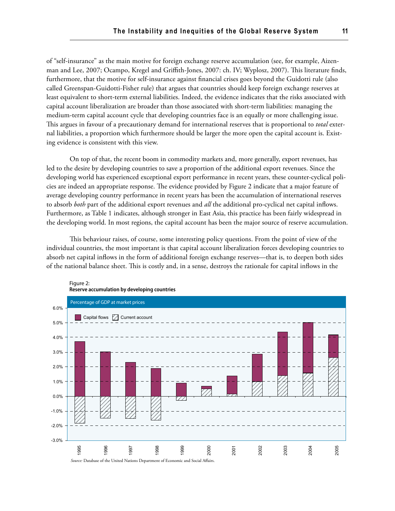of "self-insurance" as the main motive for foreign exchange reserve accumulation (see, for example, Aizenman and Lee, 2007; Ocampo, Kregel and Griffith-Jones, 2007: ch. IV; Wyplosz, 2007). This literature finds, furthermore, that the motive for self-insurance against financial crises goes beyond the Guidotti rule (also called Greenspan-Guidotti-Fisher rule) that argues that countries should keep foreign exchange reserves at least equivalent to short-term external liabilities. Indeed, the evidence indicates that the risks associated with capital account liberalization are broader than those associated with short-term liabilities: managing the medium-term capital account cycle that developing countries face is an equally or more challenging issue. This argues in favour of a precautionary demand for international reserves that is proportional to *total* external liabilities, a proportion which furthermore should be larger the more open the capital account is. Existing evidence is consistent with this view.

On top of that, the recent boom in commodity markets and, more generally, export revenues, has led to the desire by developing countries to save a proportion of the additional export revenues. Since the developing world has experienced exceptional export performance in recent years, these counter-cyclical policies are indeed an appropriate response. The evidence provided by Figure 2 indicate that a major feature of average developing country performance in recent years has been the accumulation of international reserves to absorb *both* part of the additional export revenues and *all* the additional pro-cyclical net capital inflows. Furthermore, as Table 1 indicates, although stronger in East Asia, this practice has been fairly widespread in the developing world. In most regions, the capital account has been the major source of reserve accumulation.

This behaviour raises, of course, some interesting policy questions. From the point of view of the individual countries, the most important is that capital account liberalization forces developing countries to absorb net capital inflows in the form of additional foreign exchange reserves—that is, to deepen both sides of the national balance sheet. This is costly and, in a sense, destroys the rationale for capital inflows in the

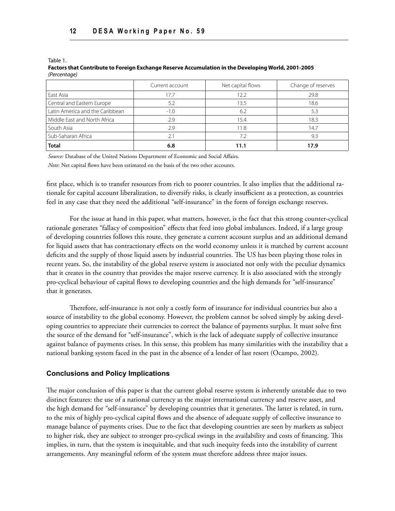Table 1.

#### **Factors that Contribute to Foreign Exchange Reserve Accumulation in the Developing World, 2001-2005** *(Percentage)*

|                                 | Current account | Net capital flows | Change of reserves |
|---------------------------------|-----------------|-------------------|--------------------|
| East Asia                       | 17.7            | 12.2              | 29.8               |
| Central and Eastern Europe      | 5.2             | 13.5              | 18.6               |
| Latin America and the Caribbean | $-1.0$          | 6.2               | 5.3                |
| Middle East and North Africa    | 2.9             | 15.4              | 18.3               |
| l South Asia                    | 2.9             | 11.8              | 14.7               |
| Sub-Saharan Africa              | 2.1             | 7.2               | 9.3                |
| <b>Total</b>                    | 6.8             | 11.1              | 17.9               |

*Source:* Database of the United Nations Department of Economic and Social Affairs.

*Note:* Net capital flows have been estimated on the basis of the two other accounts.

first place, which is to transfer resources from rich to poorer countries. It also implies that the additional rationale for capital account liberalization, to diversify risks, is clearly insufficient as a protection, as countries feel in any case that they need the additional "self-insurance" in the form of foreign exchange reserves.

For the issue at hand in this paper, what matters, however, is the fact that this strong counter-cyclical rationale generates "fallacy of composition" effects that feed into global imbalances. Indeed, if a large group of developing countries follows this route, they generate a current account surplus and an additional demand for liquid assets that has contractionary effects on the world economy unless it is matched by current account deficits and the supply of those liquid assets by industrial countries. The US has been playing those roles in recent years. So, the instability of the global reserve system is associated not only with the peculiar dynamics that it creates in the country that provides the major reserve currency. It is also associated with the strongly pro-cyclical behaviour of capital flows to developing countries and the high demands for "self-insurance" that it generates.

Therefore, self-insurance is not only a costly form of insurance for individual countries but also a source of instability to the global economy. However, the problem cannot be solved simply by asking developing countries to appreciate their currencies to correct the balance of payments surplus. It must solve first the source of the demand for "self-insurance", which is the lack of adequate supply of collective insurance against balance of payments crises. In this sense, this problem has many similarities with the instability that a national banking system faced in the past in the absence of a lender of last resort (Ocampo, 2002).

### **Conclusions and Policy Implications**

The major conclusion of this paper is that the current global reserve system is inherently unstable due to two distinct features: the use of a national currency as the major international currency and reserve asset, and the high demand for "self-insurance" by developing countries that it generates. The latter is related, in turn, to the mix of highly pro-cyclical capital flows and the absence of adequate supply of collective insurance to manage balance of payments crises. Due to the fact that developing countries are seen by markets as subject to higher risk, they are subject to stronger pro-cyclical swings in the availability and costs of financing. This implies, in turn, that the system is inequitable, and that such inequity feeds into the instability of current arrangements. Any meaningful reform of the system must therefore address three major issues.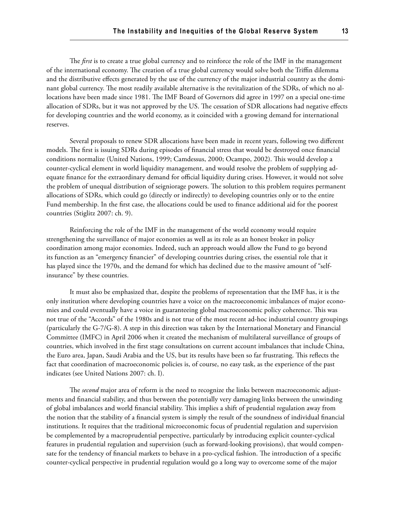The *first* is to create a true global currency and to reinforce the role of the IMF in the management of the international economy. The creation of a true global currency would solve both the Triffin dilemma and the distributive effects generated by the use of the currency of the major industrial country as the dominant global currency. The most readily available alternative is the revitalization of the SDRs, of which no allocations have been made since 1981. The IMF Board of Governors did agree in 1997 on a special one-time allocation of SDRs, but it was not approved by the US. The cessation of SDR allocations had negative effects for developing countries and the world economy, as it coincided with a growing demand for international reserves.

Several proposals to renew SDR allocations have been made in recent years, following two different models. The first is issuing SDRs during episodes of financial stress that would be destroyed once financial conditions normalize (United Nations, 1999; Camdessus, 2000; Ocampo, 2002). This would develop a counter-cyclical element in world liquidity management, and would resolve the problem of supplying adequate finance for the extraordinary demand for official liquidity during crises. However, it would not solve the problem of unequal distribution of seigniorage powers. The solution to this problem requires permanent allocations of SDRs, which could go (directly or indirectly) to developing countries only or to the entire Fund membership. In the first case, the allocations could be used to finance additional aid for the poorest countries (Stiglitz 2007: ch. 9).

Reinforcing the role of the IMF in the management of the world economy would require strengthening the surveillance of major economies as well as its role as an honest broker in policy coordination among major economies. Indeed, such an approach would allow the Fund to go beyond its function as an "emergency financier" of developing countries during crises, the essential role that it has played since the 1970s, and the demand for which has declined due to the massive amount of "selfinsurance" by these countries.

It must also be emphasized that, despite the problems of representation that the IMF has, it is the only institution where developing countries have a voice on the macroeconomic imbalances of major economies and could eventually have a voice in guaranteeing global macroeconomic policy coherence. This was not true of the "Accords" of the 1980s and is not true of the most recent ad-hoc industrial country groupings (particularly the G-7/G-8). A step in this direction was taken by the International Monetary and Financial Committee (IMFC) in April 2006 when it created the mechanism of multilateral surveillance of groups of countries, which involved in the first stage consultations on current account imbalances that include China, the Euro area, Japan, Saudi Arabia and the US, but its results have been so far frustrating. This reflects the fact that coordination of macroeconomic policies is, of course, no easy task, as the experience of the past indicates (see United Nations 2007: ch. I).

The *second* major area of reform is the need to recognize the links between macroeconomic adjustments and financial stability, and thus between the potentially very damaging links between the unwinding of global imbalances and world financial stability. This implies a shift of prudential regulation away from the notion that the stability of a financial system is simply the result of the soundness of individual financial institutions. It requires that the traditional microeconomic focus of prudential regulation and supervision be complemented by a macroprudential perspective, particularly by introducing explicit counter-cyclical features in prudential regulation and supervision (such as forward-looking provisions), that would compensate for the tendency of financial markets to behave in a pro-cyclical fashion. The introduction of a specific counter-cyclical perspective in prudential regulation would go a long way to overcome some of the major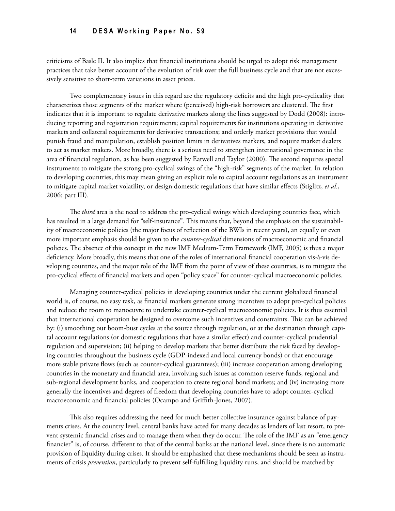criticisms of Basle II. It also implies that financial institutions should be urged to adopt risk management practices that take better account of the evolution of risk over the full business cycle and that are not excessively sensitive to short-term variations in asset prices.

Two complementary issues in this regard are the regulatory deficits and the high pro-cyclicality that characterizes those segments of the market where (perceived) high-risk borrowers are clustered. The first indicates that it is important to regulate derivative markets along the lines suggested by Dodd (2008): introducing reporting and registration requirements; capital requirements for institutions operating in derivative markets and collateral requirements for derivative transactions; and orderly market provisions that would punish fraud and manipulation, establish position limits in derivatives markets, and require market dealers to act as market makers. More broadly, there is a serious need to strengthen international governance in the area of financial regulation, as has been suggested by Eatwell and Taylor (2000). The second requires special instruments to mitigate the strong pro-cyclical swings of the "high-risk" segments of the market. In relation to developing countries, this may mean giving an explicit role to capital account regulations as an instrument to mitigate capital market volatility, or design domestic regulations that have similar effects (Stiglitz, *et al.*, 2006: part III).

The *third* area is the need to address the pro-cyclical swings which developing countries face, which has resulted in a large demand for "self-insurance". This means that, beyond the emphasis on the sustainability of macroeconomic policies (the major focus of reflection of the BWIs in recent years), an equally or even more important emphasis should be given to the *counter-cyclical* dimensions of macroeconomic and financial policies. The absence of this concept in the new IMF Medium-Term Framework (IMF, 2005) is thus a major deficiency. More broadly, this means that one of the roles of international financial cooperation vis-à-vis developing countries, and the major role of the IMF from the point of view of these countries, is to mitigate the pro-cyclical effects of financial markets and open "policy space" for counter-cyclical macroeconomic policies.

Managing counter-cyclical policies in developing countries under the current globalized financial world is, of course, no easy task, as financial markets generate strong incentives to adopt pro-cyclical policies and reduce the room to manoeuvre to undertake counter-cyclical macroeconomic policies. It is thus essential that international cooperation be designed to overcome such incentives and constraints. This can be achieved by: (i) smoothing out boom-bust cycles at the source through regulation, or at the destination through capital account regulations (or domestic regulations that have a similar effect) and counter-cyclical prudential regulation and supervision; (ii) helping to develop markets that better distribute the risk faced by developing countries throughout the business cycle (GDP-indexed and local currency bonds) or that encourage more stable private flows (such as counter-cyclical guarantees); (iii) increase cooperation among developing countries in the monetary and financial area, involving such issues as common reserve funds, regional and sub-regional development banks, and cooperation to create regional bond markets; and (iv) increasing more generally the incentives and degrees of freedom that developing countries have to adopt counter-cyclical macroeconomic and financial policies (Ocampo and Griffith-Jones, 2007).

This also requires addressing the need for much better collective insurance against balance of payments crises. At the country level, central banks have acted for many decades as lenders of last resort, to prevent systemic financial crises and to manage them when they do occur. The role of the IMF as an "emergency financier" is, of course, different to that of the central banks at the national level, since there is no automatic provision of liquidity during crises. It should be emphasized that these mechanisms should be seen as instruments of crisis *prevention*, particularly to prevent self-fulfilling liquidity runs, and should be matched by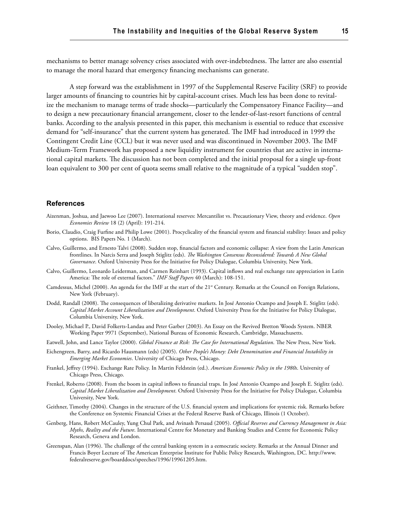mechanisms to better manage solvency crises associated with over-indebtedness. The latter are also essential to manage the moral hazard that emergency financing mechanisms can generate.

A step forward was the establishment in 1997 of the Supplemental Reserve Facility (SRF) to provide larger amounts of financing to countries hit by capital-account crises. Much less has been done to revitalize the mechanism to manage terms of trade shocks—particularly the Compensatory Finance Facility—and to design a new precautionary financial arrangement, closer to the lender-of-last-resort functions of central banks. According to the analysis presented in this paper, this mechanism is essential to reduce that excessive demand for "self-insurance" that the current system has generated. The IMF had introduced in 1999 the Contingent Credit Line (CCL) but it was never used and was discontinued in November 2003. The IMF Medium-Term Framework has proposed a new liquidity instrument for countries that are active in international capital markets. The discussion has not been completed and the initial proposal for a single up-front loan equivalent to 300 per cent of quota seems small relative to the magnitude of a typical "sudden stop".

#### **References**

- Aizenman, Joshua, and Jaewoo Lee (2007). International reserves: Mercantilist vs. Precautionary View, theory and evidence. *Open Economies Review* 18 (2) (April): 191-214.
- Borio, Claudio, Craig Furfine and Philip Lowe (2001). Procyclicality of the financial system and financial stability: Issues and policy options. BIS Papers No. 1 (March).
- Calvo, Guillermo, and Ernesto Talvi (2008). Sudden stop, financial factors and economic collapse: A view from the Latin American frontlines. In Narcis Serra and Joseph Stiglitz (eds). *The Washington Consensus Reconsidered: Towards A New Global Governance*. Oxford University Press for the Initiative for Policy Dialogue, Columbia University, New York.
- Calvo, Guillermo, Leonardo Leiderman, and Carmen Reinhart (1993). Capital inflows and real exchange rate appreciation in Latin America: The role of external factors." *IMF Staff Papers* 40 (March): 108-151.
- Camdessus, Michel (2000). An agenda for the IMF at the start of the 21<sup>st</sup> Century. Remarks at the Council on Foreign Relations, New York (February).
- Dodd, Randall (2008). The consequences of liberalizing derivative markets. In José Antonio Ocampo and Joseph E. Stiglitz (eds). *Capital Market Account Liberalization and Development*. Oxford University Press for the Initiative for Policy Dialogue, Columbia University, New York.
- Dooley, Michael P., David Folkerts-Landau and Peter Garber (2003). An Essay on the Revived Bretton Woods System. NBER Working Paper 9971 (September), National Bureau of Economic Research, Cambridge, Massachusetts.
- Eatwell, John, and Lance Taylor (2000). *Global Finance at Risk: The Case for International Regulation*. The New Press, New York.
- Eichengreen, Barry, and Ricardo Hausmann (eds) (2005). *Other People's Money: Debt Denomination and Financial Instability in Emerging Market Economies*. University of Chicago Press, Chicago.
- Frankel, Jeffrey (1994). Exchange Rate Policy. In Martin Feldstein (ed.). *American Economic Policy in the 1980s*. University of Chicago Press, Chicago.
- Frenkel, Roberto (2008). From the boom in capital inflows to financial traps. In José Antonio Ocampo and Joseph E. Stiglitz (eds). *Capital Market Liberalization and Development*. Oxford University Press for the Initiative for Policy Dialogue, Columbia University, New York.
- Geithner, Timothy (2004). Changes in the structure of the U.S. financial system and implications for systemic risk. Remarks before the Conference on Systemic Financial Crises at the Federal Reserve Bank of Chicago, Illinois (1 October).
- Genberg, Hans, Robert McCauley, Yung Chul Park, and Avinash Persaud (2005). *Official Reserves and Currency Management in Asia: Myths, Reality and the Future*. International Centre for Monetary and Banking Studies and Centre for Economic Policy Research, Geneva and London.
- Greenspan, Alan (1996). The challenge of the central banking system in a eemocratic society. Remarks at the Annual Dinner and Francis Boyer Lecture of The American Enterprise Institute for Public Policy Research, Washington, DC. http://www. federalreserve.gov/boarddocs/speeches/1996/19961205.htm.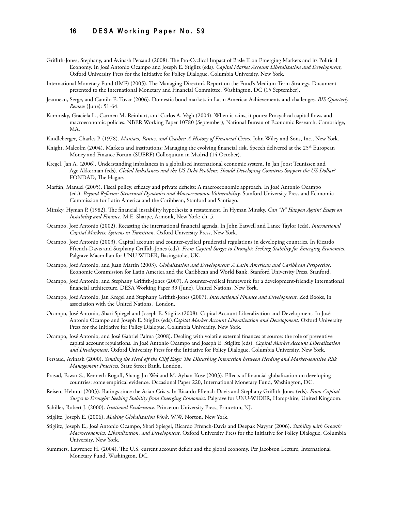- Griffith-Jones, Stephany, and Avinash Persaud (2008). The Pro-Cyclical Impact of Basle II on Emerging Markets and its Political Economy. In José Antonio Ocampo and Joseph E. Stiglitz (eds). *Capital Market Account Liberalization and Development*, Oxford University Press for the Initiative for Policy Dialogue, Columbia University, New York.
- International Monetary Fund (IMF) (2005). The Managing Director's Report on the Fund's Medium-Term Strategy. Document presented to the International Monetary and Financial Committee, Washington, DC (15 September).
- Jeanneau, Serge, and Camilo E. Tovar (2006). Domestic bond markets in Latin America: Achievements and challenges. *BIS Quarterly Review* (June): 51-64.
- Kaminsky, Graciela L., Carmen M. Reinhart, and Carlos A. Végh (2004). When it rains, it pours: Procyclical capital flows and macroeconomic policies. NBER Working Paper 10780 (September), National Bureau of Economic Research, Cambridge, MA.
- Kindleberger, Charles P. (1978). *Maniacs, Panics, and Crashes: A History of Financial Crises*. John Wiley and Sons, Inc., New York.
- Knight, Malcolm (2004). Markets and institutions: Managing the evolving financial risk. Speech delivered at the 25<sup>th</sup> European Money and Finance Forum (SUERF) Colloquium in Madrid (14 October).
- Kregel, Jan A. (2006). Understanding imbalances in a globalised international economic system. In Jan Joost Teunissen and Age Akkerman (eds). *Global Imbalances and the US Debt Problem: Should Developing Countries Support the US Dollar?* FONDAD, The Hague.
- Marfán, Manuel (2005). Fiscal policy, efficacy and private deficits: A macroeconomic approach. In José Antonio Ocampo (ed.). *Beyond Reforms: Structural Dynamics and Macroeconomic Vulnerability*. Stanford University Press and Economic Commission for Latin America and the Caribbean, Stanford and Santiago.
- Minsky, Hyman P. (1982). The financial instability hypothesis: a restatement. In Hyman Minsky. *Can "It" Happen Again? Essays on Instability and Finance*. M.E. Sharpe, Armonk, New York: ch. 5.
- Ocampo, José Antonio (2002). Recasting the international financial agenda. In John Eatwell and Lance Taylor (eds). *International Capital Markets: Systems in Transition*. Oxford University Press, New York.
- Ocampo, José Antonio (2003). Capital account and counter-cyclical prudential regulations in developing countries. In Ricardo Ffrench-Davis and Stephany Griffith-Jones (eds). *From Capital Surges to Drought: Seeking Stability for Emerging Economies*. Palgrave Macmillan for UNU-WIDER, Basingstoke, UK.
- Ocampo, José Antonio, and Juan Martin (2003). *Globalization and Development: A Latin American and Caribbean Perspective*. Economic Commission for Latin America and the Caribbean and World Bank, Stanford University Press, Stanford.
- Ocampo, José Antonio, and Stephany Griffith-Jones (2007). A counter-cyclical framework for a development-friendly international financial architecture. DESA Working Paper 39 (June), United Nations, New York.
- Ocampo, José Antonio, Jan Kregel and Stephany Griffith-Jones (2007). *International Finance and Development*. Zed Books, in association with the United Nations, London.
- Ocampo, José Antonio, Shari Spiegel and Joseph E. Stiglitz (2008). Capital Account Liberalization and Development. In José Antonio Ocampo and Joseph E. Stiglitz (eds).*Capital Market Account Liberalization and Development*. Oxford University Press for the Initiative for Policy Dialogue, Columbia University, New York.
- Ocampo, José Antonio, and José Gabriel Palma (2008). Dealing with volatile external finances at source: the role of preventive capital account regulations. In José Antonio Ocampo and Joseph E. Stiglitz (eds). *Capital Market Account Liberalization and Development*. Oxford University Press for the Initiative for Policy Dialogue, Columbia University, New York.
- Persaud, Avinash (2000). *Sending the Herd off the Cliff Edge: The Disturbing Interaction between Herding and Market-sensitive Risk Management Practices*. State Street Bank, London.
- Prasad, Eswar S., Kenneth Rogoff, Shang-Jin Wei and M. Ayhan Kose (2003). Effects of financial globalization on developing countries: some empirical evidence. Occasional Paper 220, International Monetary Fund, Washington, DC.
- Reisen, Helmut (2003). Ratings since the Asian Crisis. In Ricardo Ffrench-Davis and Stephany Griffith-Jones (eds). *From Capital Surges to Drought: Seeking Stability from Emerging Economies*. Palgrave for UNU-WIDER, Hampshire, United Kingdom.
- Schiller, Robert J. (2000). *Irrational Exuberance*. Princeton University Press, Princeton, NJ.
- Stiglitz, Joseph E. (2006). *Making Globalization Work*. W.W. Norton, New York.
- Stiglitz, Joseph E., José Antonio Ocampo, Shari Spiegel, Ricardo Ffrench-Davis and Deepak Nayyar (2006). *Stability with Growth: Macroeconomics, Liberalization, and Development*. Oxford University Press for the Initiative for Policy Dialogue, Columbia University, New York.
- Summers, Lawrence H. (2004). The U.S. current account deficit and the global economy. Per Jacobson Lecture, International Monetary Fund, Washington, DC.